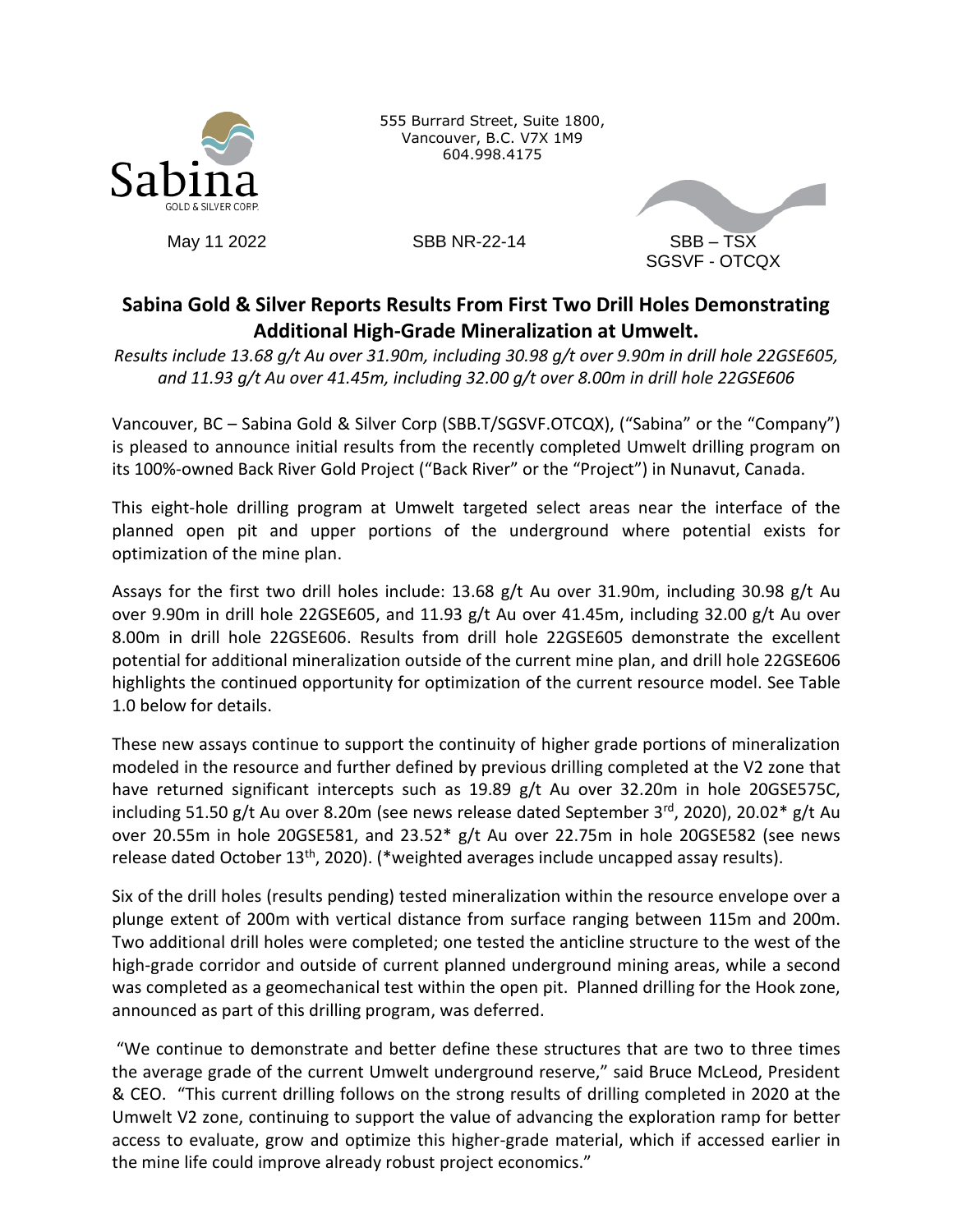

555 Burrard Street, Suite 1800, Vancouver, B.C. V7X 1M9 604.998.4175



# **Sabina Gold & Silver Reports Results From First Two Drill Holes Demonstrating Additional High-Grade Mineralization at Umwelt.**

*Results include 13.68 g/t Au over 31.90m, including 30.98 g/t over 9.90m in drill hole 22GSE605, and 11.93 g/t Au over 41.45m, including 32.00 g/t over 8.00m in drill hole 22GSE606*

Vancouver, BC – Sabina Gold & Silver Corp (SBB.T/SGSVF.OTCQX), ("Sabina" or the "Company") is pleased to announce initial results from the recently completed Umwelt drilling program on its 100%-owned Back River Gold Project ("Back River" or the "Project") in Nunavut, Canada.

This eight-hole drilling program at Umwelt targeted select areas near the interface of the planned open pit and upper portions of the underground where potential exists for optimization of the mine plan.

Assays for the first two drill holes include: 13.68 g/t Au over 31.90m, including 30.98 g/t Au over 9.90m in drill hole 22GSE605, and 11.93 g/t Au over 41.45m, including 32.00 g/t Au over 8.00m in drill hole 22GSE606. Results from drill hole 22GSE605 demonstrate the excellent potential for additional mineralization outside of the current mine plan, and drill hole 22GSE606 highlights the continued opportunity for optimization of the current resource model. See Table 1.0 below for details.

These new assays continue to support the continuity of higher grade portions of mineralization modeled in the resource and further defined by previous drilling completed at the V2 zone that have returned significant intercepts such as 19.89 g/t Au over 32.20m in hole 20GSE575C, including 51.50 g/t Au over 8.20m (see news release dated September 3rd, 2020), 20.02\* g/t Au over 20.55m in hole 20GSE581, and 23.52\* g/t Au over 22.75m in hole 20GSE582 (see news release dated October 13<sup>th</sup>, 2020). (\*weighted averages include uncapped assay results).

Six of the drill holes (results pending) tested mineralization within the resource envelope over a plunge extent of 200m with vertical distance from surface ranging between 115m and 200m. Two additional drill holes were completed; one tested the anticline structure to the west of the high-grade corridor and outside of current planned underground mining areas, while a second was completed as a geomechanical test within the open pit. Planned drilling for the Hook zone, announced as part of this drilling program, was deferred.

"We continue to demonstrate and better define these structures that are two to three times the average grade of the current Umwelt underground reserve," said Bruce McLeod, President & CEO. "This current drilling follows on the strong results of drilling completed in 2020 at the Umwelt V2 zone, continuing to support the value of advancing the exploration ramp for better access to evaluate, grow and optimize this higher-grade material, which if accessed earlier in the mine life could improve already robust project economics."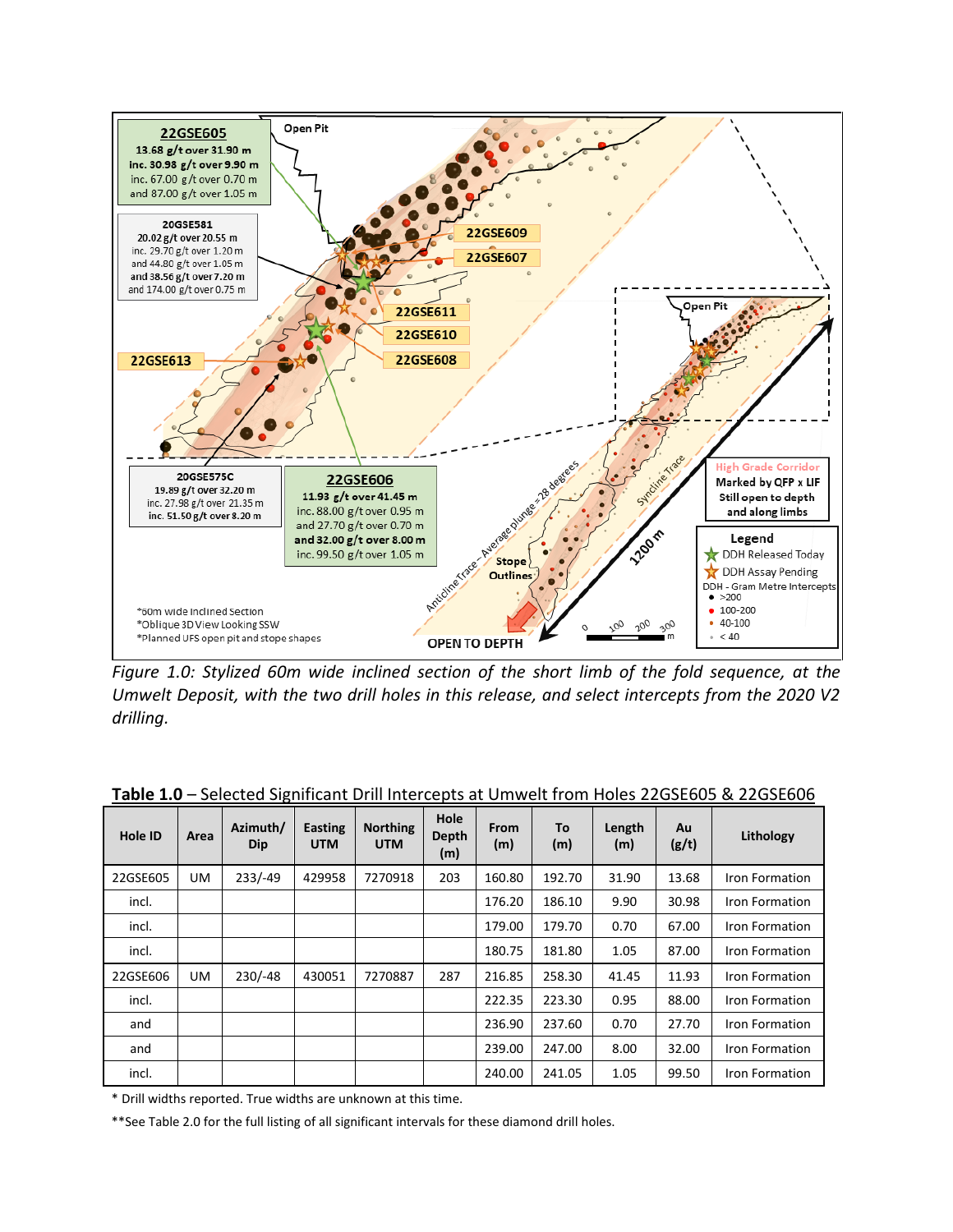

*Figure 1.0: Stylized 60m wide inclined section of the short limb of the fold sequence, at the Umwelt Deposit, with the two drill holes in this release, and select intercepts from the 2020 V2 drilling.* 

|--|

| Hole ID  | Area      | Azimuth/<br><b>Dip</b> | <b>Easting</b><br><b>UTM</b> | <b>Northing</b><br><b>UTM</b> | Hole<br>Depth<br>(m) | From<br>(m) | To<br>(m) | Length<br>(m) | Au<br>(g/t) | Lithology      |
|----------|-----------|------------------------|------------------------------|-------------------------------|----------------------|-------------|-----------|---------------|-------------|----------------|
| 22GSE605 | <b>UM</b> | $233/-49$              | 429958                       | 7270918                       | 203                  | 160.80      | 192.70    | 31.90         | 13.68       | Iron Formation |
| incl.    |           |                        |                              |                               |                      | 176.20      | 186.10    | 9.90          | 30.98       | Iron Formation |
| incl.    |           |                        |                              |                               |                      | 179.00      | 179.70    | 0.70          | 67.00       | Iron Formation |
| incl.    |           |                        |                              |                               |                      | 180.75      | 181.80    | 1.05          | 87.00       | Iron Formation |
| 22GSE606 | <b>UM</b> | 230/-48                | 430051                       | 7270887                       | 287                  | 216.85      | 258.30    | 41.45         | 11.93       | Iron Formation |
| incl.    |           |                        |                              |                               |                      | 222.35      | 223.30    | 0.95          | 88.00       | Iron Formation |
| and      |           |                        |                              |                               |                      | 236.90      | 237.60    | 0.70          | 27.70       | Iron Formation |
| and      |           |                        |                              |                               |                      | 239.00      | 247.00    | 8.00          | 32.00       | Iron Formation |
| incl.    |           |                        |                              |                               |                      | 240.00      | 241.05    | 1.05          | 99.50       | Iron Formation |

\* Drill widths reported. True widths are unknown at this time.

\*\*See Table 2.0 for the full listing of all significant intervals for these diamond drill holes.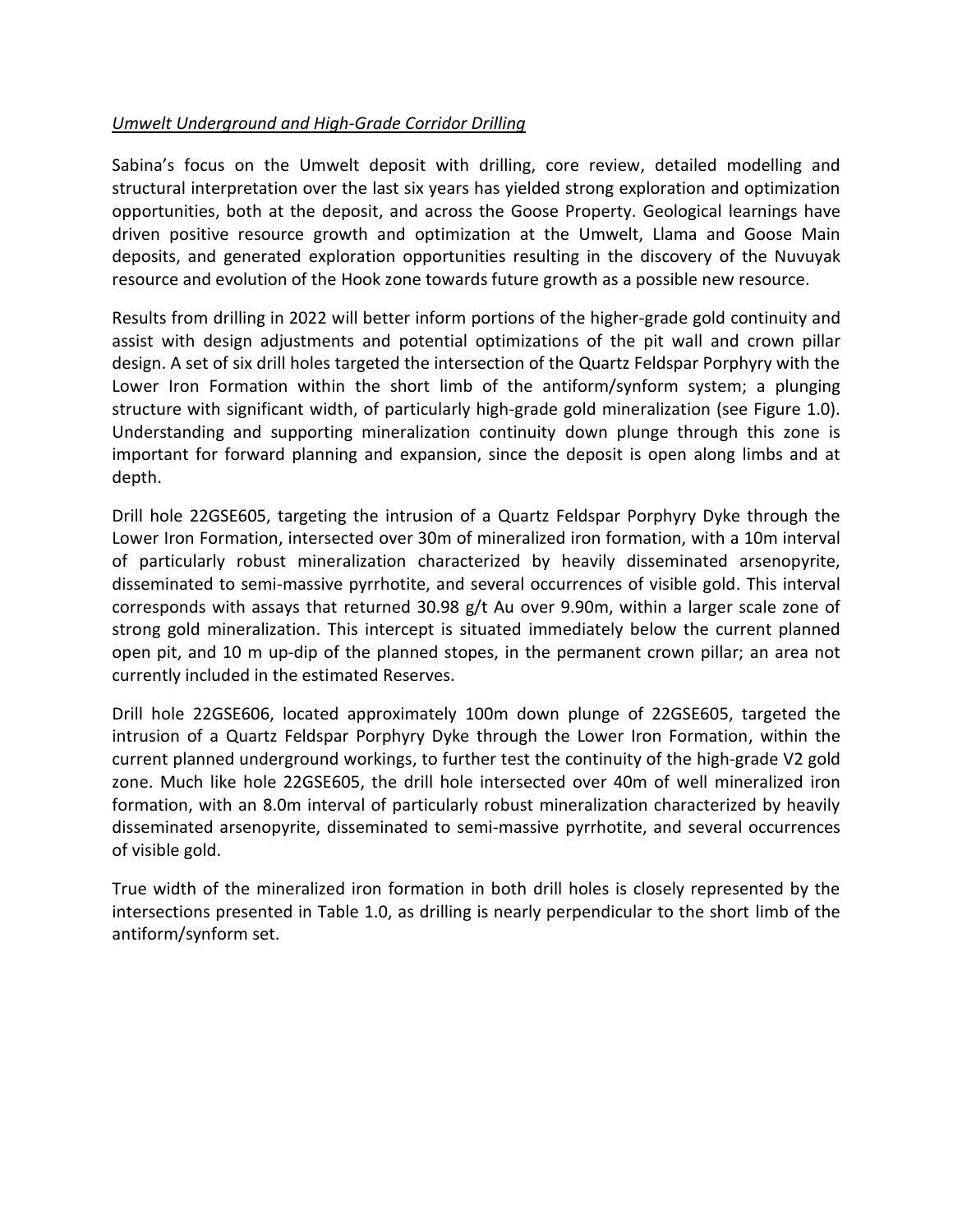## *Umwelt Underground and High-Grade Corridor Drilling*

Sabina's focus on the Umwelt deposit with drilling, core review, detailed modelling and structural interpretation over the last six years has yielded strong exploration and optimization opportunities, both at the deposit, and across the Goose Property. Geological learnings have driven positive resource growth and optimization at the Umwelt, Llama and Goose Main deposits, and generated exploration opportunities resulting in the discovery of the Nuvuyak resource and evolution of the Hook zone towards future growth as a possible new resource.

Results from drilling in 2022 will better inform portions of the higher-grade gold continuity and assist with design adjustments and potential optimizations of the pit wall and crown pillar design. A set of six drill holes targeted the intersection of the Quartz Feldspar Porphyry with the Lower Iron Formation within the short limb of the antiform/synform system; a plunging structure with significant width, of particularly high-grade gold mineralization (see Figure 1.0). Understanding and supporting mineralization continuity down plunge through this zone is important for forward planning and expansion, since the deposit is open along limbs and at depth.

Drill hole 22GSE605, targeting the intrusion of a Quartz Feldspar Porphyry Dyke through the Lower Iron Formation, intersected over 30m of mineralized iron formation, with a 10m interval of particularly robust mineralization characterized by heavily disseminated arsenopyrite, disseminated to semi-massive pyrrhotite, and several occurrences of visible gold. This interval corresponds with assays that returned 30.98 g/t Au over 9.90m, within a larger scale zone of strong gold mineralization. This intercept is situated immediately below the current planned open pit, and 10 m up-dip of the planned stopes, in the permanent crown pillar; an area not currently included in the estimated Reserves.

Drill hole 22GSE606, located approximately 100m down plunge of 22GSE605, targeted the intrusion of a Quartz Feldspar Porphyry Dyke through the Lower Iron Formation, within the current planned underground workings, to further test the continuity of the high-grade V2 gold zone. Much like hole 22GSE605, the drill hole intersected over 40m of well mineralized iron formation, with an 8.0m interval of particularly robust mineralization characterized by heavily disseminated arsenopyrite, disseminated to semi-massive pyrrhotite, and several occurrences of visible gold.

True width of the mineralized iron formation in both drill holes is closely represented by the intersections presented in Table 1.0, as drilling is nearly perpendicular to the short limb of the antiform/synform set.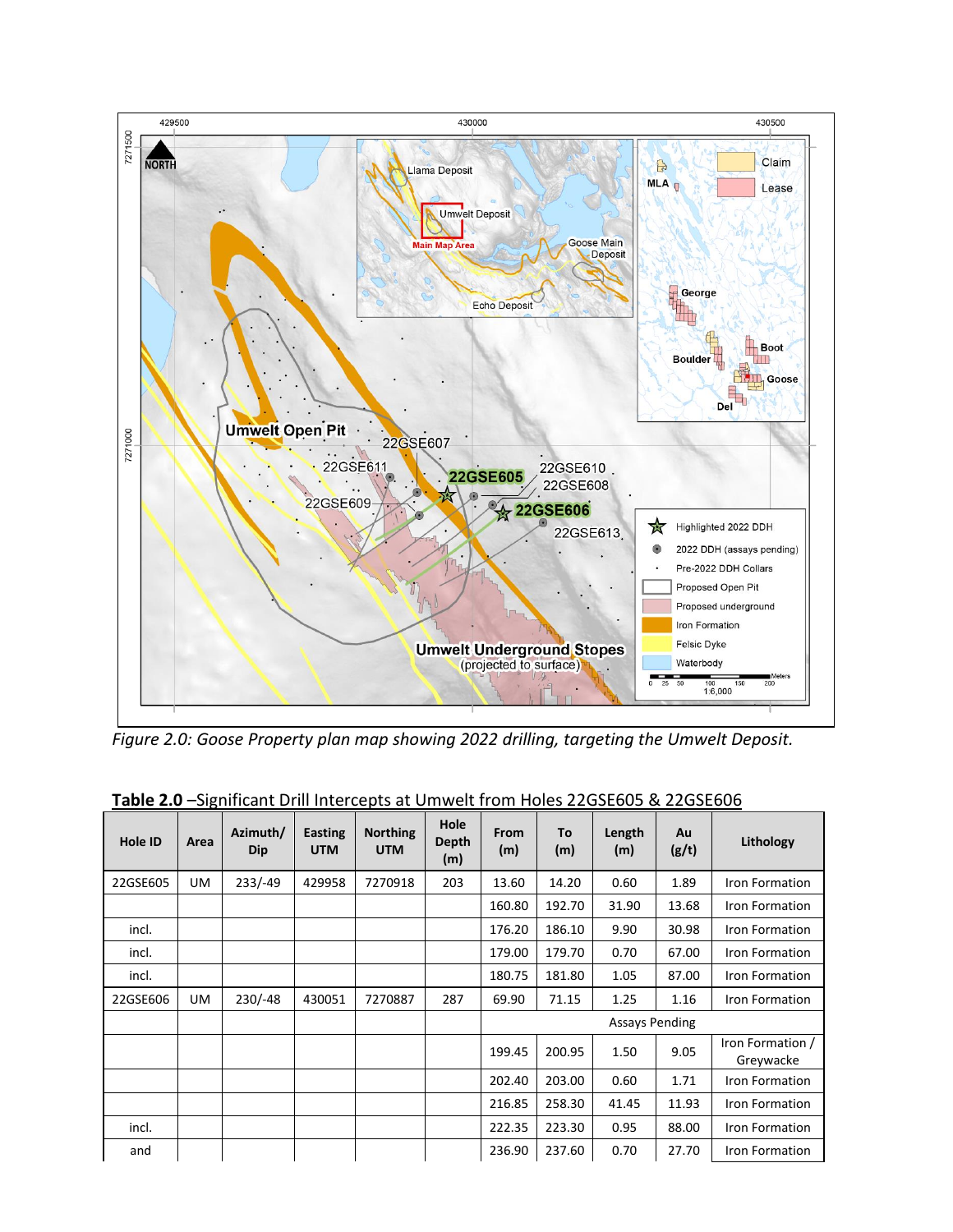

*Figure 2.0: Goose Property plan map showing 2022 drilling, targeting the Umwelt Deposit.*

| <b>Hole ID</b> | Area | Azimuth/<br>Dip | <b>Easting</b><br><b>UTM</b> | <b>Northing</b><br><b>UTM</b> | Hole<br>Depth<br>(m) | From<br>(m)           | To<br>(m) | Length<br>(m) | Au<br>(g/t) | Lithology                     |  |
|----------------|------|-----------------|------------------------------|-------------------------------|----------------------|-----------------------|-----------|---------------|-------------|-------------------------------|--|
| 22GSE605       | UM.  | $233/-49$       | 429958                       | 7270918                       | 203                  | 13.60                 | 14.20     | 0.60          | 1.89        | Iron Formation                |  |
|                |      |                 |                              |                               |                      | 160.80                | 192.70    | 31.90         | 13.68       | Iron Formation                |  |
| incl.          |      |                 |                              |                               |                      | 176.20                | 186.10    | 9.90          | 30.98       | Iron Formation                |  |
| incl.          |      |                 |                              |                               |                      | 179.00                | 179.70    | 0.70          | 67.00       | Iron Formation                |  |
| incl.          |      |                 |                              |                               |                      | 180.75                | 181.80    | 1.05          | 87.00       | Iron Formation                |  |
| 22GSE606       | UM   | 230/-48         | 430051                       | 7270887                       | 287                  | 69.90                 | 71.15     | 1.25          | 1.16        | Iron Formation                |  |
|                |      |                 |                              |                               |                      | <b>Assays Pending</b> |           |               |             |                               |  |
|                |      |                 |                              |                               |                      | 199.45                | 200.95    | 1.50          | 9.05        | Iron Formation /<br>Greywacke |  |
|                |      |                 |                              |                               |                      | 202.40                | 203.00    | 0.60          | 1.71        | Iron Formation                |  |
|                |      |                 |                              |                               |                      | 216.85                | 258.30    | 41.45         | 11.93       | Iron Formation                |  |
| incl.          |      |                 |                              |                               |                      | 222.35                | 223.30    | 0.95          | 88.00       | Iron Formation                |  |
| and            |      |                 |                              |                               |                      | 236.90                | 237.60    | 0.70          | 27.70       | Iron Formation                |  |

**Table 2.0** –Significant Drill Intercepts at Umwelt from Holes 22GSE605 & 22GSE606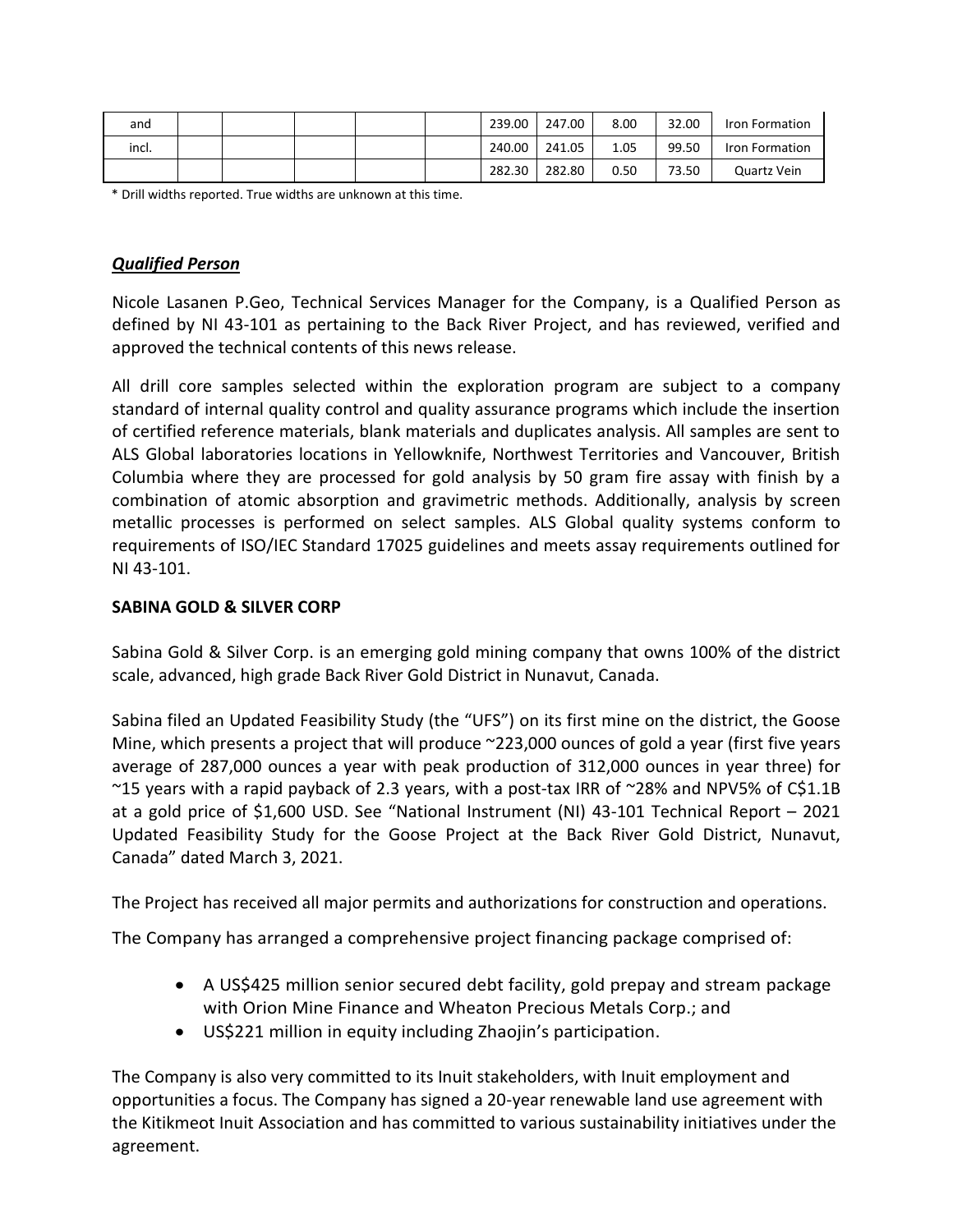| and   |  |  | 239.00 | 247.00 | 8.00 | 32.00 | Iron Formation        |
|-------|--|--|--------|--------|------|-------|-----------------------|
| incl. |  |  | 240.00 | 241.05 | 1.05 | 99.50 | <b>Iron Formation</b> |
|       |  |  | 282.30 | 282.80 | 0.50 | 73.50 | Quartz Vein           |

\* Drill widths reported. True widths are unknown at this time.

## *Qualified Person*

Nicole Lasanen P.Geo, Technical Services Manager for the Company, is a Qualified Person as defined by NI 43-101 as pertaining to the Back River Project, and has reviewed, verified and approved the technical contents of this news release.

All drill core samples selected within the exploration program are subject to a company standard of internal quality control and quality assurance programs which include the insertion of certified reference materials, blank materials and duplicates analysis. All samples are sent to ALS Global laboratories locations in Yellowknife, Northwest Territories and Vancouver, British Columbia where they are processed for gold analysis by 50 gram fire assay with finish by a combination of atomic absorption and gravimetric methods. Additionally, analysis by screen metallic processes is performed on select samples. ALS Global quality systems conform to requirements of ISO/IEC Standard 17025 guidelines and meets assay requirements outlined for NI 43-101.

#### **SABINA GOLD & SILVER CORP**

Sabina Gold & Silver Corp. is an emerging gold mining company that owns 100% of the district scale, advanced, high grade Back River Gold District in Nunavut, Canada.

Sabina filed an Updated Feasibility Study (the "UFS") on its first mine on the district, the Goose Mine, which presents a project that will produce ~223,000 ounces of gold a year (first five years average of 287,000 ounces a year with peak production of 312,000 ounces in year three) for  $\textdegree{}$ 15 years with a rapid payback of 2.3 years, with a post-tax IRR of  $\textdegree{}$ 28% and NPV5% of C\$1.1B at a gold price of \$1,600 USD. See "National Instrument (NI) 43-101 Technical Report – 2021 Updated Feasibility Study for the Goose Project at the Back River Gold District, Nunavut, Canada" dated March 3, 2021.

The Project has received all major permits and authorizations for construction and operations.

The Company has arranged a comprehensive project financing package comprised of:

- A US\$425 million senior secured debt facility, gold prepay and stream package with Orion Mine Finance and Wheaton Precious Metals Corp.; and
- US\$221 million in equity including Zhaojin's participation.

The Company is also very committed to its Inuit stakeholders, with Inuit employment and opportunities a focus. The Company has signed a 20-year renewable land use agreement with the Kitikmeot Inuit Association and has committed to various sustainability initiatives under the agreement.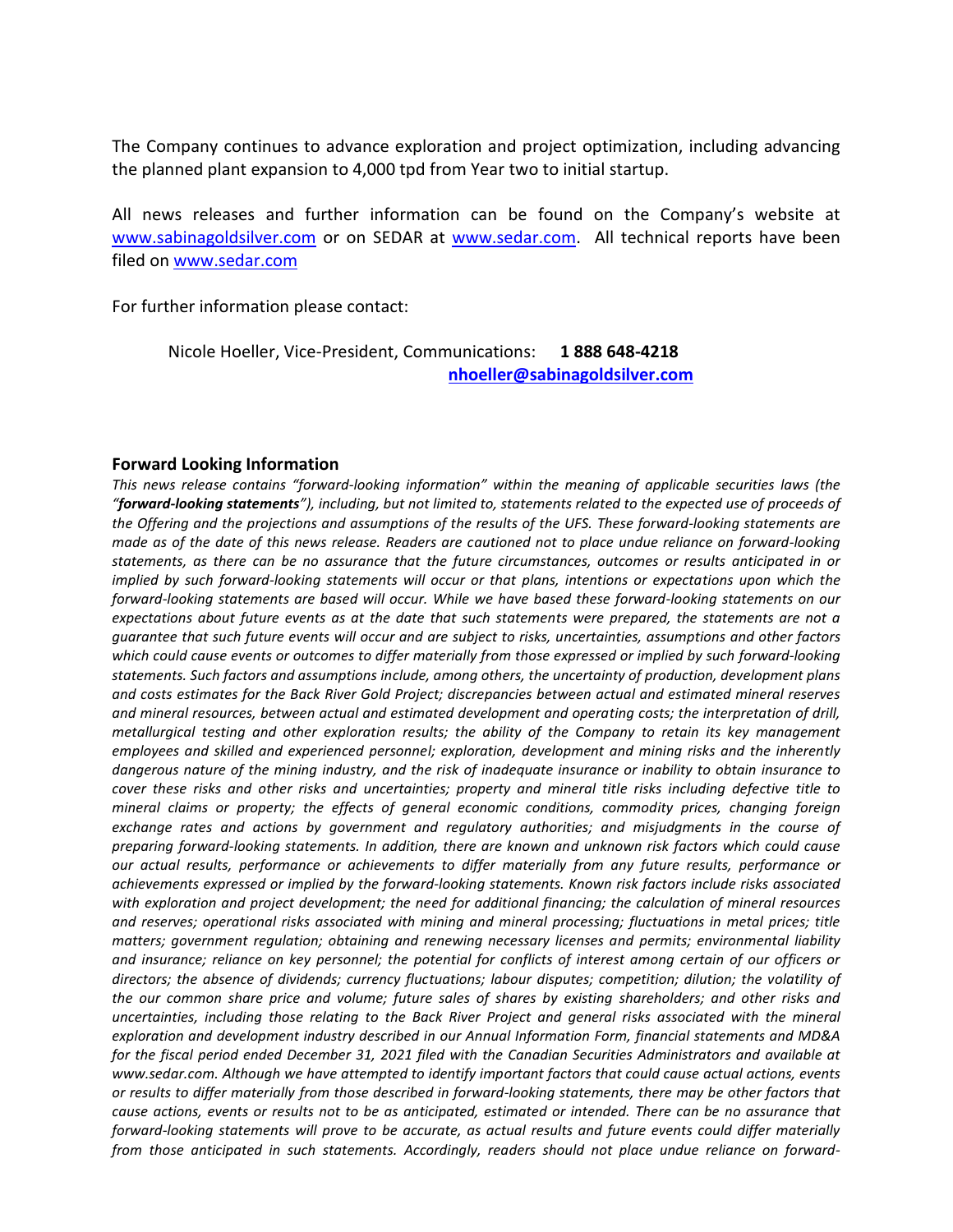The Company continues to advance exploration and project optimization, including advancing the planned plant expansion to 4,000 tpd from Year two to initial startup.

All news releases and further information can be found on the Company's website at [www.sabinagoldsilver.com](http://www.sabinagoldsilver.com/) or on SEDAR at [www.sedar.com.](http://www.sedar.com/) All technical reports have been filed on [www.sedar.com](http://www.sedar.com/)

For further information please contact:

Nicole Hoeller, Vice-President, Communications: **1 888 648-4218 [nhoeller@sabinagoldsilver.com](mailto:nhoeller@sabinagoldsilver.com)**

#### **Forward Looking Information**

*This news release contains "forward-looking information" within the meaning of applicable securities laws (the "forward-looking statements"), including, but not limited to, statements related to the expected use of proceeds of the Offering and the projections and assumptions of the results of the UFS. These forward-looking statements are made as of the date of this news release. Readers are cautioned not to place undue reliance on forward-looking statements, as there can be no assurance that the future circumstances, outcomes or results anticipated in or implied by such forward-looking statements will occur or that plans, intentions or expectations upon which the forward-looking statements are based will occur. While we have based these forward-looking statements on our expectations about future events as at the date that such statements were prepared, the statements are not a guarantee that such future events will occur and are subject to risks, uncertainties, assumptions and other factors which could cause events or outcomes to differ materially from those expressed or implied by such forward-looking statements. Such factors and assumptions include, among others, the uncertainty of production, development plans and costs estimates for the Back River Gold Project; discrepancies between actual and estimated mineral reserves and mineral resources, between actual and estimated development and operating costs; the interpretation of drill, metallurgical testing and other exploration results; the ability of the Company to retain its key management employees and skilled and experienced personnel; exploration, development and mining risks and the inherently dangerous nature of the mining industry, and the risk of inadequate insurance or inability to obtain insurance to cover these risks and other risks and uncertainties; property and mineral title risks including defective title to mineral claims or property; the effects of general economic conditions, commodity prices, changing foreign exchange rates and actions by government and regulatory authorities; and misjudgments in the course of preparing forward-looking statements. In addition, there are known and unknown risk factors which could cause our actual results, performance or achievements to differ materially from any future results, performance or achievements expressed or implied by the forward-looking statements. Known risk factors include risks associated with exploration and project development; the need for additional financing; the calculation of mineral resources and reserves; operational risks associated with mining and mineral processing; fluctuations in metal prices; title matters; government regulation; obtaining and renewing necessary licenses and permits; environmental liability and insurance; reliance on key personnel; the potential for conflicts of interest among certain of our officers or directors; the absence of dividends; currency fluctuations; labour disputes; competition; dilution; the volatility of the our common share price and volume; future sales of shares by existing shareholders; and other risks and uncertainties, including those relating to the Back River Project and general risks associated with the mineral exploration and development industry described in our Annual Information Form, financial statements and MD&A for the fiscal period ended December 31, 2021 filed with the Canadian Securities Administrators and available at www.sedar.com. Although we have attempted to identify important factors that could cause actual actions, events or results to differ materially from those described in forward-looking statements, there may be other factors that cause actions, events or results not to be as anticipated, estimated or intended. There can be no assurance that forward-looking statements will prove to be accurate, as actual results and future events could differ materially from those anticipated in such statements. Accordingly, readers should not place undue reliance on forward-*